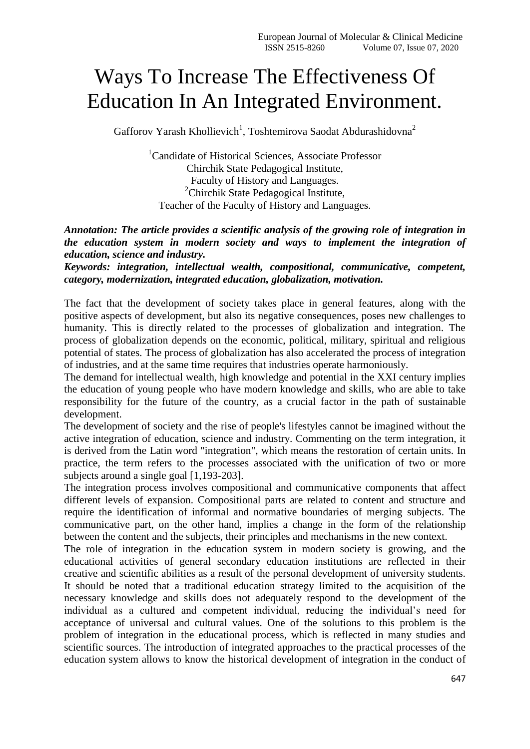## Ways To Increase The Effectiveness Of Education In An Integrated Environment.

Gafforov Yarash Khollievich<sup>1</sup>, Toshtemirova Saodat Abdurashidovna<sup>2</sup>

<sup>1</sup>Candidate of Historical Sciences, Associate Professor Chirchik State Pedagogical Institute, Faculty of History and Languages. <sup>2</sup>Chirchik State Pedagogical Institute, Teacher of the Faculty of History and Languages.

## *Annotation: The article provides a scientific analysis of the growing role of integration in the education system in modern society and ways to implement the integration of education, science and industry.*

*Keywords: integration, intellectual wealth, compositional, communicative, competent, category, modernization, integrated education, globalization, motivation.*

The fact that the development of society takes place in general features, along with the positive aspects of development, but also its negative consequences, poses new challenges to humanity. This is directly related to the processes of globalization and integration. The process of globalization depends on the economic, political, military, spiritual and religious potential of states. The process of globalization has also accelerated the process of integration of industries, and at the same time requires that industries operate harmoniously.

The demand for intellectual wealth, high knowledge and potential in the XXI century implies the education of young people who have modern knowledge and skills, who are able to take responsibility for the future of the country, as a crucial factor in the path of sustainable development.

The development of society and the rise of people's lifestyles cannot be imagined without the active integration of education, science and industry. Commenting on the term integration, it is derived from the Latin word "integration", which means the restoration of certain units. In practice, the term refers to the processes associated with the unification of two or more subjects around a single goal [1,193-203].

The integration process involves compositional and communicative components that affect different levels of expansion. Compositional parts are related to content and structure and require the identification of informal and normative boundaries of merging subjects. The communicative part, on the other hand, implies a change in the form of the relationship between the content and the subjects, their principles and mechanisms in the new context.

The role of integration in the education system in modern society is growing, and the educational activities of general secondary education institutions are reflected in their creative and scientific abilities as a result of the personal development of university students. It should be noted that a traditional education strategy limited to the acquisition of the necessary knowledge and skills does not adequately respond to the development of the individual as a cultured and competent individual, reducing the individual's need for acceptance of universal and cultural values. One of the solutions to this problem is the problem of integration in the educational process, which is reflected in many studies and scientific sources. The introduction of integrated approaches to the practical processes of the education system allows to know the historical development of integration in the conduct of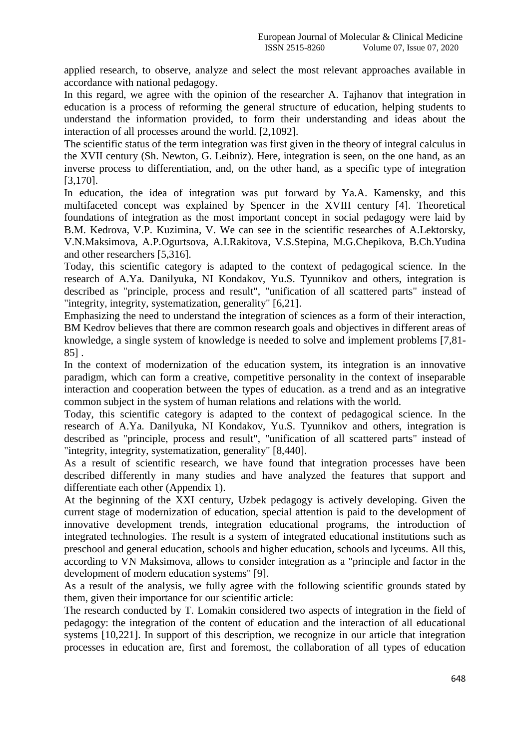applied research, to observe, analyze and select the most relevant approaches available in accordance with national pedagogy.

In this regard, we agree with the opinion of the researcher A. Tajhanov that integration in education is a process of reforming the general structure of education, helping students to understand the information provided, to form their understanding and ideas about the interaction of all processes around the world. [2,1092].

The scientific status of the term integration was first given in the theory of integral calculus in the XVII century (Sh. Newton, G. Leibniz). Here, integration is seen, on the one hand, as an inverse process to differentiation, and, on the other hand, as a specific type of integration [3,170].

In education, the idea of integration was put forward by Ya.A. Kamensky, and this multifaceted concept was explained by Spencer in the XVIII century [4]. Theoretical foundations of integration as the most important concept in social pedagogy were laid by B.M. Kedrova, V.P. Kuzimina, V. We can see in the scientific researches of A.Lektorsky, V.N.Maksimova, A.P.Ogurtsova, A.I.Rakitova, V.S.Stepina, M.G.Chepikova, B.Ch.Yudina and other researchers [5,316].

Today, this scientific category is adapted to the context of pedagogical science. In the research of A.Ya. Danilyuka, NI Kondakov, Yu.S. Tyunnikov and others, integration is described as "principle, process and result", "unification of all scattered parts" instead of "integrity, integrity, systematization, generality" [6,21].

Emphasizing the need to understand the integration of sciences as a form of their interaction, BM Kedrov believes that there are common research goals and objectives in different areas of knowledge, a single system of knowledge is needed to solve and implement problems [7,81- 85] .

In the context of modernization of the education system, its integration is an innovative paradigm, which can form a creative, competitive personality in the context of inseparable interaction and cooperation between the types of education. as a trend and as an integrative common subject in the system of human relations and relations with the world.

Today, this scientific category is adapted to the context of pedagogical science. In the research of A.Ya. Danilyuka, NI Kondakov, Yu.S. Tyunnikov and others, integration is described as "principle, process and result", "unification of all scattered parts" instead of "integrity, integrity, systematization, generality" [8,440].

As a result of scientific research, we have found that integration processes have been described differently in many studies and have analyzed the features that support and differentiate each other (Appendix 1).

At the beginning of the XXI century, Uzbek pedagogy is actively developing. Given the current stage of modernization of education, special attention is paid to the development of innovative development trends, integration educational programs, the introduction of integrated technologies. The result is a system of integrated educational institutions such as preschool and general education, schools and higher education, schools and lyceums. All this, according to VN Maksimova, allows to consider integration as a "principle and factor in the development of modern education systems" [9].

As a result of the analysis, we fully agree with the following scientific grounds stated by them, given their importance for our scientific article:

The research conducted by T. Lomakin considered two aspects of integration in the field of pedagogy: the integration of the content of education and the interaction of all educational systems [10,221]. In support of this description, we recognize in our article that integration processes in education are, first and foremost, the collaboration of all types of education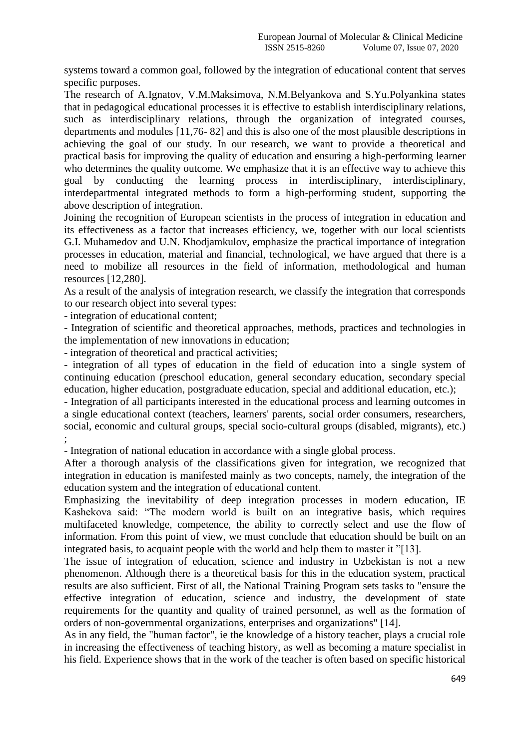systems toward a common goal, followed by the integration of educational content that serves specific purposes.

The research of A.Ignatov, V.M.Maksimova, N.M.Belyankova and S.Yu.Polyankina states that in pedagogical educational processes it is effective to establish interdisciplinary relations, such as interdisciplinary relations, through the organization of integrated courses, departments and modules [11,76- 82] and this is also one of the most plausible descriptions in achieving the goal of our study. In our research, we want to provide a theoretical and practical basis for improving the quality of education and ensuring a high-performing learner who determines the quality outcome. We emphasize that it is an effective way to achieve this goal by conducting the learning process in interdisciplinary, interdisciplinary, interdepartmental integrated methods to form a high-performing student, supporting the above description of integration.

Joining the recognition of European scientists in the process of integration in education and its effectiveness as a factor that increases efficiency, we, together with our local scientists G.I. Muhamedov and U.N. Khodjamkulov, emphasize the practical importance of integration processes in education, material and financial, technological, we have argued that there is a need to mobilize all resources in the field of information, methodological and human resources [12,280].

As a result of the analysis of integration research, we classify the integration that corresponds to our research object into several types:

- integration of educational content;

- Integration of scientific and theoretical approaches, methods, practices and technologies in the implementation of new innovations in education;

- integration of theoretical and practical activities;

- integration of all types of education in the field of education into a single system of continuing education (preschool education, general secondary education, secondary special education, higher education, postgraduate education, special and additional education, etc.);

- Integration of all participants interested in the educational process and learning outcomes in a single educational context (teachers, learners' parents, social order consumers, researchers, social, economic and cultural groups, special socio-cultural groups (disabled, migrants), etc.) ;

- Integration of national education in accordance with a single global process.

After a thorough analysis of the classifications given for integration, we recognized that integration in education is manifested mainly as two concepts, namely, the integration of the education system and the integration of educational content.

Emphasizing the inevitability of deep integration processes in modern education, IE Kashekova said: "The modern world is built on an integrative basis, which requires multifaceted knowledge, competence, the ability to correctly select and use the flow of information. From this point of view, we must conclude that education should be built on an integrated basis, to acquaint people with the world and help them to master it "[13].

The issue of integration of education, science and industry in Uzbekistan is not a new phenomenon. Although there is a theoretical basis for this in the education system, practical results are also sufficient. First of all, the National Training Program sets tasks to "ensure the effective integration of education, science and industry, the development of state requirements for the quantity and quality of trained personnel, as well as the formation of orders of non-governmental organizations, enterprises and organizations" [14].

As in any field, the "human factor", ie the knowledge of a history teacher, plays a crucial role in increasing the effectiveness of teaching history, as well as becoming a mature specialist in his field. Experience shows that in the work of the teacher is often based on specific historical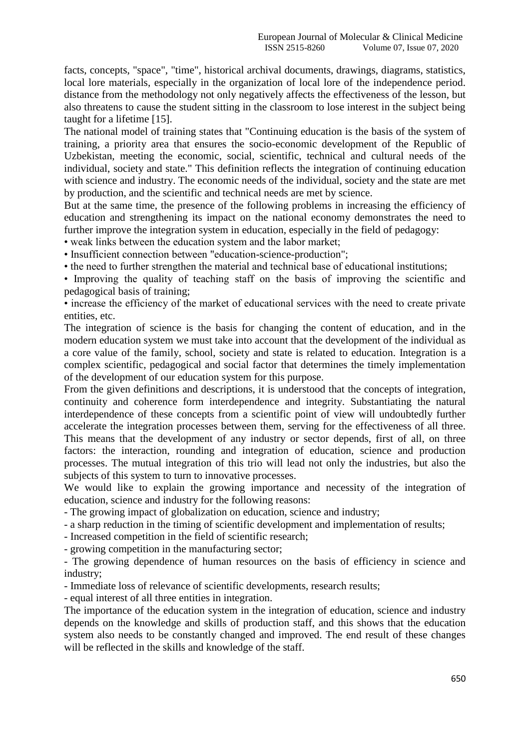facts, concepts, "space", "time", historical archival documents, drawings, diagrams, statistics, local lore materials, especially in the organization of local lore of the independence period. distance from the methodology not only negatively affects the effectiveness of the lesson, but also threatens to cause the student sitting in the classroom to lose interest in the subject being taught for a lifetime [15].

The national model of training states that "Continuing education is the basis of the system of training, a priority area that ensures the socio-economic development of the Republic of Uzbekistan, meeting the economic, social, scientific, technical and cultural needs of the individual, society and state." This definition reflects the integration of continuing education with science and industry. The economic needs of the individual, society and the state are met by production, and the scientific and technical needs are met by science.

But at the same time, the presence of the following problems in increasing the efficiency of education and strengthening its impact on the national economy demonstrates the need to further improve the integration system in education, especially in the field of pedagogy:

• weak links between the education system and the labor market;

• Insufficient connection between "education-science-production";

• the need to further strengthen the material and technical base of educational institutions;

• Improving the quality of teaching staff on the basis of improving the scientific and pedagogical basis of training;

• increase the efficiency of the market of educational services with the need to create private entities, etc.

The integration of science is the basis for changing the content of education, and in the modern education system we must take into account that the development of the individual as a core value of the family, school, society and state is related to education. Integration is a complex scientific, pedagogical and social factor that determines the timely implementation of the development of our education system for this purpose.

From the given definitions and descriptions, it is understood that the concepts of integration, continuity and coherence form interdependence and integrity. Substantiating the natural interdependence of these concepts from a scientific point of view will undoubtedly further accelerate the integration processes between them, serving for the effectiveness of all three. This means that the development of any industry or sector depends, first of all, on three factors: the interaction, rounding and integration of education, science and production processes. The mutual integration of this trio will lead not only the industries, but also the subjects of this system to turn to innovative processes.

We would like to explain the growing importance and necessity of the integration of education, science and industry for the following reasons:

- The growing impact of globalization on education, science and industry;

- a sharp reduction in the timing of scientific development and implementation of results;

- Increased competition in the field of scientific research;

- growing competition in the manufacturing sector;

- The growing dependence of human resources on the basis of efficiency in science and industry;

- Immediate loss of relevance of scientific developments, research results;

- equal interest of all three entities in integration.

The importance of the education system in the integration of education, science and industry depends on the knowledge and skills of production staff, and this shows that the education system also needs to be constantly changed and improved. The end result of these changes will be reflected in the skills and knowledge of the staff.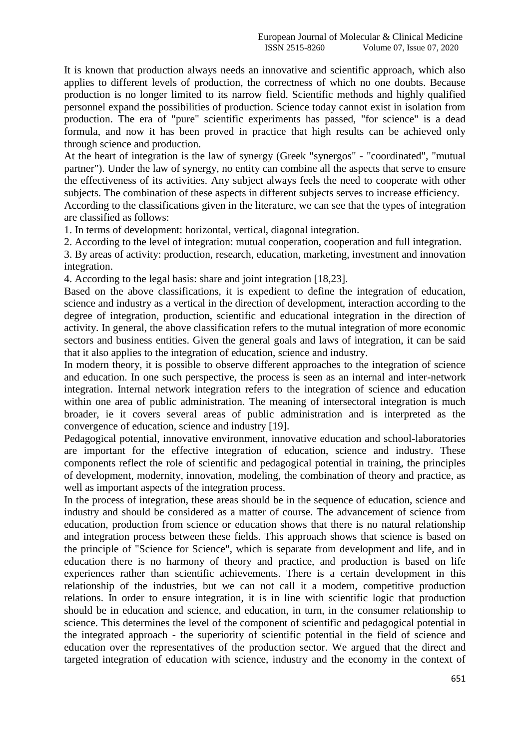It is known that production always needs an innovative and scientific approach, which also applies to different levels of production, the correctness of which no one doubts. Because production is no longer limited to its narrow field. Scientific methods and highly qualified personnel expand the possibilities of production. Science today cannot exist in isolation from production. The era of "pure" scientific experiments has passed, "for science" is a dead formula, and now it has been proved in practice that high results can be achieved only through science and production.

At the heart of integration is the law of synergy (Greek "synergos" - "coordinated", "mutual partner"). Under the law of synergy, no entity can combine all the aspects that serve to ensure the effectiveness of its activities. Any subject always feels the need to cooperate with other subjects. The combination of these aspects in different subjects serves to increase efficiency.

According to the classifications given in the literature, we can see that the types of integration are classified as follows:

1. In terms of development: horizontal, vertical, diagonal integration.

2. According to the level of integration: mutual cooperation, cooperation and full integration.

3. By areas of activity: production, research, education, marketing, investment and innovation integration.

4. According to the legal basis: share and joint integration [18,23].

Based on the above classifications, it is expedient to define the integration of education, science and industry as a vertical in the direction of development, interaction according to the degree of integration, production, scientific and educational integration in the direction of activity. In general, the above classification refers to the mutual integration of more economic sectors and business entities. Given the general goals and laws of integration, it can be said that it also applies to the integration of education, science and industry.

In modern theory, it is possible to observe different approaches to the integration of science and education. In one such perspective, the process is seen as an internal and inter-network integration. Internal network integration refers to the integration of science and education within one area of public administration. The meaning of intersectoral integration is much broader, ie it covers several areas of public administration and is interpreted as the convergence of education, science and industry [19].

Pedagogical potential, innovative environment, innovative education and school-laboratories are important for the effective integration of education, science and industry. These components reflect the role of scientific and pedagogical potential in training, the principles of development, modernity, innovation, modeling, the combination of theory and practice, as well as important aspects of the integration process.

In the process of integration, these areas should be in the sequence of education, science and industry and should be considered as a matter of course. The advancement of science from education, production from science or education shows that there is no natural relationship and integration process between these fields. This approach shows that science is based on the principle of "Science for Science", which is separate from development and life, and in education there is no harmony of theory and practice, and production is based on life experiences rather than scientific achievements. There is a certain development in this relationship of the industries, but we can not call it a modern, competitive production relations. In order to ensure integration, it is in line with scientific logic that production should be in education and science, and education, in turn, in the consumer relationship to science. This determines the level of the component of scientific and pedagogical potential in the integrated approach - the superiority of scientific potential in the field of science and education over the representatives of the production sector. We argued that the direct and targeted integration of education with science, industry and the economy in the context of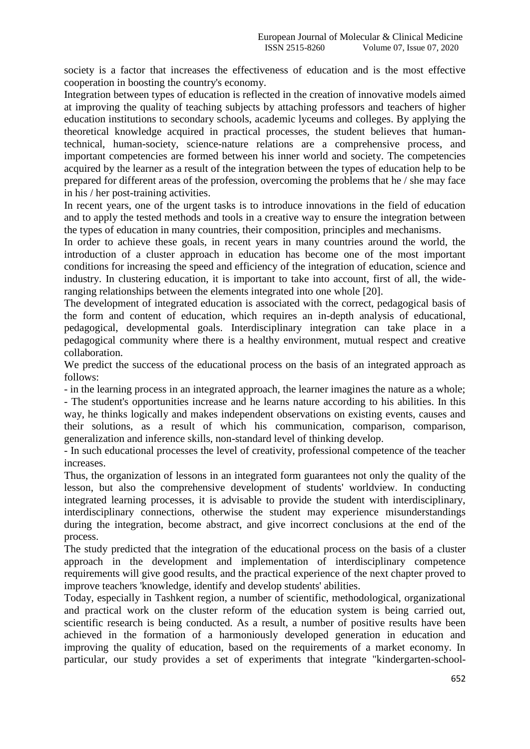society is a factor that increases the effectiveness of education and is the most effective cooperation in boosting the country's economy.

Integration between types of education is reflected in the creation of innovative models aimed at improving the quality of teaching subjects by attaching professors and teachers of higher education institutions to secondary schools, academic lyceums and colleges. By applying the theoretical knowledge acquired in practical processes, the student believes that humantechnical, human-society, science-nature relations are a comprehensive process, and important competencies are formed between his inner world and society. The competencies acquired by the learner as a result of the integration between the types of education help to be prepared for different areas of the profession, overcoming the problems that he / she may face in his / her post-training activities.

In recent years, one of the urgent tasks is to introduce innovations in the field of education and to apply the tested methods and tools in a creative way to ensure the integration between the types of education in many countries, their composition, principles and mechanisms.

In order to achieve these goals, in recent years in many countries around the world, the introduction of a cluster approach in education has become one of the most important conditions for increasing the speed and efficiency of the integration of education, science and industry. In clustering education, it is important to take into account, first of all, the wideranging relationships between the elements integrated into one whole [20].

The development of integrated education is associated with the correct, pedagogical basis of the form and content of education, which requires an in-depth analysis of educational, pedagogical, developmental goals. Interdisciplinary integration can take place in a pedagogical community where there is a healthy environment, mutual respect and creative collaboration.

We predict the success of the educational process on the basis of an integrated approach as follows:

- in the learning process in an integrated approach, the learner imagines the nature as a whole; - The student's opportunities increase and he learns nature according to his abilities. In this way, he thinks logically and makes independent observations on existing events, causes and their solutions, as a result of which his communication, comparison, comparison, generalization and inference skills, non-standard level of thinking develop.

- In such educational processes the level of creativity, professional competence of the teacher increases.

Thus, the organization of lessons in an integrated form guarantees not only the quality of the lesson, but also the comprehensive development of students' worldview. In conducting integrated learning processes, it is advisable to provide the student with interdisciplinary, interdisciplinary connections, otherwise the student may experience misunderstandings during the integration, become abstract, and give incorrect conclusions at the end of the process.

The study predicted that the integration of the educational process on the basis of a cluster approach in the development and implementation of interdisciplinary competence requirements will give good results, and the practical experience of the next chapter proved to improve teachers 'knowledge, identify and develop students' abilities.

Today, especially in Tashkent region, a number of scientific, methodological, organizational and practical work on the cluster reform of the education system is being carried out, scientific research is being conducted. As a result, a number of positive results have been achieved in the formation of a harmoniously developed generation in education and improving the quality of education, based on the requirements of a market economy. In particular, our study provides a set of experiments that integrate "kindergarten-school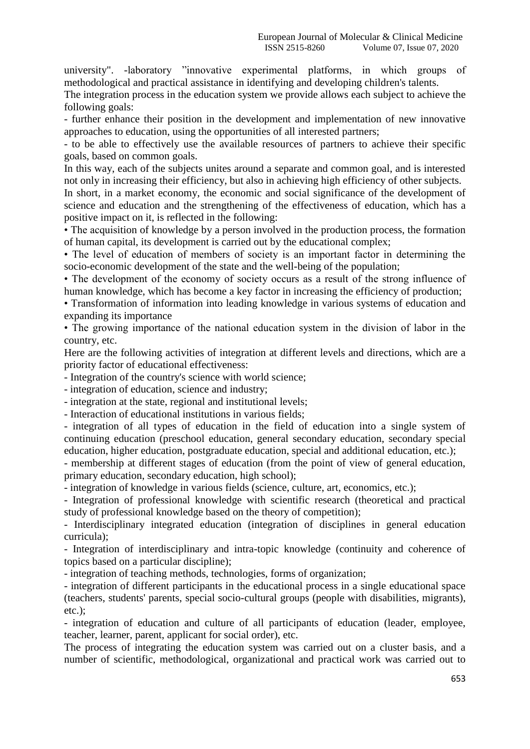university". -laboratory "innovative experimental platforms, in which groups of methodological and practical assistance in identifying and developing children's talents.

The integration process in the education system we provide allows each subject to achieve the following goals:

- further enhance their position in the development and implementation of new innovative approaches to education, using the opportunities of all interested partners;

- to be able to effectively use the available resources of partners to achieve their specific goals, based on common goals.

In this way, each of the subjects unites around a separate and common goal, and is interested not only in increasing their efficiency, but also in achieving high efficiency of other subjects.

In short, in a market economy, the economic and social significance of the development of science and education and the strengthening of the effectiveness of education, which has a positive impact on it, is reflected in the following:

• The acquisition of knowledge by a person involved in the production process, the formation of human capital, its development is carried out by the educational complex;

• The level of education of members of society is an important factor in determining the socio-economic development of the state and the well-being of the population;

• The development of the economy of society occurs as a result of the strong influence of human knowledge, which has become a key factor in increasing the efficiency of production;

• Transformation of information into leading knowledge in various systems of education and expanding its importance

• The growing importance of the national education system in the division of labor in the country, etc.

Here are the following activities of integration at different levels and directions, which are a priority factor of educational effectiveness:

- Integration of the country's science with world science;

- integration of education, science and industry;

- integration at the state, regional and institutional levels;

- Interaction of educational institutions in various fields;

- integration of all types of education in the field of education into a single system of continuing education (preschool education, general secondary education, secondary special education, higher education, postgraduate education, special and additional education, etc.);

- membership at different stages of education (from the point of view of general education, primary education, secondary education, high school);

- integration of knowledge in various fields (science, culture, art, economics, etc.);

- Integration of professional knowledge with scientific research (theoretical and practical study of professional knowledge based on the theory of competition);

- Interdisciplinary integrated education (integration of disciplines in general education curricula);

- Integration of interdisciplinary and intra-topic knowledge (continuity and coherence of topics based on a particular discipline);

- integration of teaching methods, technologies, forms of organization;

- integration of different participants in the educational process in a single educational space (teachers, students' parents, special socio-cultural groups (people with disabilities, migrants), etc.);

- integration of education and culture of all participants of education (leader, employee, teacher, learner, parent, applicant for social order), etc.

The process of integrating the education system was carried out on a cluster basis, and a number of scientific, methodological, organizational and practical work was carried out to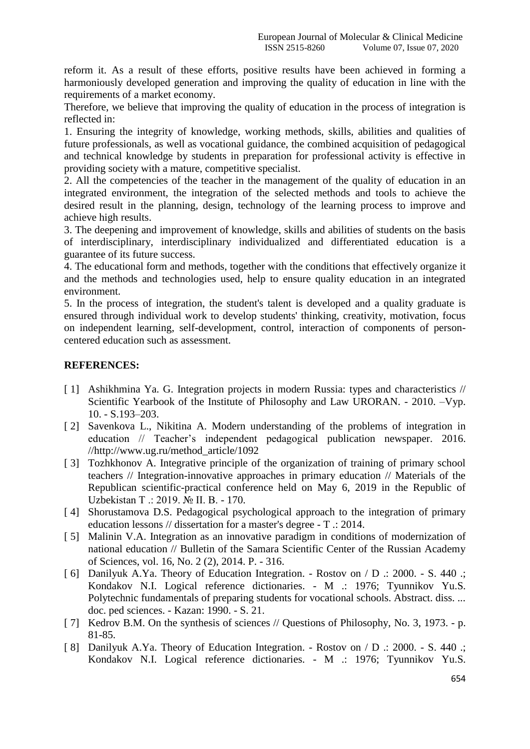reform it. As a result of these efforts, positive results have been achieved in forming a harmoniously developed generation and improving the quality of education in line with the requirements of a market economy.

Therefore, we believe that improving the quality of education in the process of integration is reflected in:

1. Ensuring the integrity of knowledge, working methods, skills, abilities and qualities of future professionals, as well as vocational guidance, the combined acquisition of pedagogical and technical knowledge by students in preparation for professional activity is effective in providing society with a mature, competitive specialist.

2. All the competencies of the teacher in the management of the quality of education in an integrated environment, the integration of the selected methods and tools to achieve the desired result in the planning, design, technology of the learning process to improve and achieve high results.

3. The deepening and improvement of knowledge, skills and abilities of students on the basis of interdisciplinary, interdisciplinary individualized and differentiated education is a guarantee of its future success.

4. The educational form and methods, together with the conditions that effectively organize it and the methods and technologies used, help to ensure quality education in an integrated environment.

5. In the process of integration, the student's talent is developed and a quality graduate is ensured through individual work to develop students' thinking, creativity, motivation, focus on independent learning, self-development, control, interaction of components of personcentered education such as assessment.

## **REFERENCES:**

- [1] Ashikhmina Ya. G. Integration projects in modern Russia: types and characteristics // Scientific Yearbook of the Institute of Philosophy and Law URORAN. - 2010. –Vyp. 10. - S.193–203.
- [2] Savenkova L., Nikitina A. Modern understanding of the problems of integration in education // Teacher's independent pedagogical publication newspaper. 2016. //http://www.ug.ru/method\_article/1092
- [3] Tozhkhonov A. Integrative principle of the organization of training of primary school teachers // Integration-innovative approaches in primary education // Materials of the Republican scientific-practical conference held on May 6, 2019 in the Republic of Uzbekistan T .: 2019. № II. B. - 170.
- [4] Shorustamova D.S. Pedagogical psychological approach to the integration of primary education lessons // dissertation for a master's degree - T .: 2014.
- [ 5] Malinin V.A. Integration as an innovative paradigm in conditions of modernization of national education // Bulletin of the Samara Scientific Center of the Russian Academy of Sciences, vol. 16, No. 2 (2), 2014. P. - 316.
- [ 6] Danilyuk A.Ya. Theory of Education Integration. Rostov on / D .: 2000. S. 440 .; Kondakov N.I. Logical reference dictionaries. - M .: 1976; Tyunnikov Yu.S. Polytechnic fundamentals of preparing students for vocational schools. Abstract. diss. ... doc. ped sciences. - Kazan: 1990. - S. 21.
- [ 7] Kedrov B.M. On the synthesis of sciences // Questions of Philosophy, No. 3, 1973. p. 81-85.
- [ 8] Danilyuk A.Ya. Theory of Education Integration. Rostov on / D .: 2000. S. 440 .; Kondakov N.I. Logical reference dictionaries. - M .: 1976; Tyunnikov Yu.S.